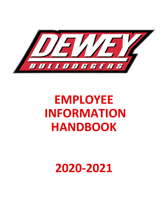

# **EMPLOYEE INFORMATION HANDBOOK**

## **2020-2021**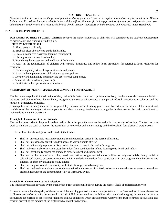## **SECTION I: TEACHERS**

*Contained within this section are the general guidelines that apply to all teachers. Complete information may be found in the District Policies and Procedures Manual available in the building offices. For specific building procedures for your job assignment contact your administrator. Teachers are also responsible for and should acquaint themselves with the contents of the Parent/Student Handbook.*

## **TEACHER RESPONSIBILITIES**

**JOB GOAL: TO HELP STUDENT LEARN!** To teach the subject matter and or skills that will contribute to the students' development as mature, able, and responsible individuals.

#### **THE TEACHER SHALL:**

- A. Plan a program of study.
- B. Establish clear objectives to guide the learning.
- C. Create a conducive classroom-learning environment.
- D. Use appropriate instructional methods.
- E. Provide regular assessment and feedback of the learning

 F. Assist in the identification of children with learning disabilities and follow local procedures for referral to local resources for assistance.

- G. Counsel regularly with colleagues, students, and parents.
- H. Assist in the implementation of district and student policies.
- I. Work toward maintaining and improving professional competence.
- J. Attend all scheduled faculty meetings.
- K. Participate in their performance evaluations.

## **STANDARDS OF PERFORMANCE AND CONDUCT FOR TEACHERS**

Teachers are charged with the education of the youth of this State. In order to perform effectively, teachers must demonstrate a belief in the worth and dignity of each human being, recognizing the supreme importance of the pursuit of truth, devotion to excellence, and the nurture of democratic principles.

In recognition of the magnitude of the responsibility inherent in the teaching process and by virtue of the desire of the respect and confidence of their colleagues, students, parents, and the community, teachers are to be guided in their conduct by their commitment to their students and their profession.

#### **Principle I - Commitment to the Students**

The teacher must strive to help each student realize his or her potential as a worthy and effective member of society. The teacher must work to stimulate the spirit of inquiry, the acquisition of knowledge and understanding, and the thoughtful formulation of worthy goals.

In fulfillment of the obligation to the student, the teacher:

- Shall not unreasonably restrain the student from independent action in the pursuit of learning.
- Shall not unreasonably deny the student access to varying points of view.
- Shall not deliberately suppress or distort subject matter relevant to the student's progress.
- Shall make reasonable effort to protect the student from conditions harmful to learning or to health and safety.
- Shall not intentionally expose the student to embarrassment or disparagement,
- Shall not on the basis of race, color, creed, sex, national origin, marital status, political or religious beliefs, family social or cultural background, or sexual orientation, unfairly exclude any student from participation in any program, deny benefits to any students, or grant any advantage to any student
- Shall not use professional relationships with students for private advantage; and
- Shall not disclose information about students obtained in the course of professional service, unless disclosure serves a compelling professional purpose and is permitted by law or is required by law.

#### **Principle II - Commitment to the Profession**

The teaching profession is vested by the public with a trust and responsibility requiring the highest ideals of professional service.

In order to assure that the quality of the services of the teaching profession meets the expectations of the State and its citizens, the teacher shall exert every effort to raise professional standards, fulfill professional responsibilities with honor and integrity, promote a climate that encourages the exercise of professional judgment, achieve conditions which attract persons worthy of the trust to careers in education, and assist in preventing the practice of the profession by unqualified persons.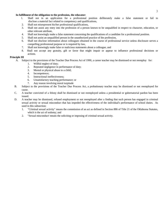#### **In fulfillment of the obligation to the profession, the educator:**

- 1. Shall not in an application for a professional position deliberately make a false statement or fail to disclose a material fact related to competency and qualifications,
- 2. Shall not misrepresent his/her professional qualifications,
- 3. Shall not assist any entry into the profession of a person known to be unqualified in respect to character, education, or other relevant attribute,
- 4. Shall not knowingly make a false statement concerning the qualifications of a candidate for a professional position.
- 5. Shall not assist an unqualified person in the unauthorized practice of the profession,
- 6. Shall not disclose information about colleagues obtained in the course of professional service unless disclosure serves a compelling professional purpose or is required by law,
- 7. Shall not knowingly make false or malicious statements about a colleague, and
- 8. Shall not accept any gratuity, gift or favor that might impair or appear to influence professional decisions or actions.

## **Principle III**

- A. Subject to the provisions of the Teacher Due Process Act of 1990, a career teacher may be dismissed or not reemploy for:
	- 1. Willful neglect of duty;
	- 2. Repeated negligence in performance of duty;
	- 3. Mental or physical abuse to a child;
	- 4. Incompetence;
	- 5. Instructional ineffectiveness;
	- 6. Unsatisfactory teaching performance; or
	- 7. Any reason involving moral turpitude
- B. Subject to the provisions of the Teacher Due Process Act, a probationary teacher may be dismissed or not reemployed for cause.
- C. A teacher convicted of a felony shall be dismissed or not reemployed unless a presidential or gubernatorial pardon has been issued.
- D. A teacher may be dismissed, refused employment or not reemployed after a finding that such person has engaged in criminal sexual activity or sexual misconduct that has impeded the effectiveness of the individual's performance of school duties. As used in this subsection:
	- 1. "Criminal sexual activity" means the commission of an act as defined in Section 886 of Title 21 of the Oklahoma Statutes, which is the act of sodomy; and
	- 2. "Sexual misconduct' means the soliciting or imposing of criminal sexual activity.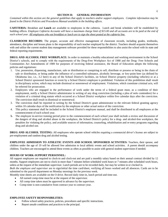## **SECTION II: GENERAL INFORMATION**

*Contained within this section are the general guidelines that apply to teachers and/or support employees. Complete information may be found in the District Policies and Procedures Manual available in the building offices.* 

**CAFETERIA:** Breakfast and **Lunch** are available to employees in the cafeteria. Lunch and break schedules will be established by building offices. *Employee Cafeteria Accounts will have a maximum charge limit of \$15.00 and all accounts are to be paid at the end of each school year. All employees who eat breakfast or lunch are to sign the sheet posted at the cafeteria line.*

**CLASSROOM RECORDS:** The proper, accurate and effective management of classroom records, including grades, textbooks, attendance, discipline and lesson plans is the responsibility of each teacher employed by the district. Teachers should acquaint themselves with and utilize the current student data management software provided for these responsibilities to also assist the school with its state and federal reporting requirements.

**DRUG AND ALCOHOL FREE WORKPLACE:** In order to maintain a healthy educational and working environment in the School District's schools, and to comply with the requirements of the Drug-Free Workplace Act of 1988 and the Drug- Free Schools and Communities Act Amendments of 1989 for purposes of receiving federal assistance, the Board of Education adopts the following policies and regulations:

- 1. Use, possession, dispensing, manufacture, sale or distribution or conspiring to sell, distribute or possess or being in the chain of sale or distribution, or being under the influence of a controlled substance, alcoholic beverage, or low-point beer (as defined by Oklahoma law, i.e., 3.2 beer) in any of the School District's facilities, on School District property (including vehicles) or at a School District sponsored function or event by a School District employee is prohibited. Violation of this prohibition shall result in disciplinary action, which may include dismissal or nonrenewal of employment. Violations, which constitute criminal acts, will be referred for prosecution.
- 2. Employees who are engaged in the performance of work under the terms of a federal grant must, as a condition of their employment, notify a School District administrator in writing of any drug conviction (including a plea of nolo contendere) for a violation of a criminal drug statute which occurred at a School District workplace within five calendar days after the conviction. The conviction shall result in dismissal or nonrenewal.
- 3. The conviction shall be reported in writing by the School District's grant administrator to the relevant federal granting agency within 10 calendar days of the notification by the employee or other actual notice of the conviction.
- 4. This policy statement shall be included in the School District's employee manual, and shall be distributed to all employees at the commencement of each school year.
- **5.** The employee in-service training period prior to the commencement of each school year shall include a review and discussion of the dangers of drug and alcohol abuse in the workplace, the School District's policy for a drug- and alcohol-free workplace, the penalties for violating the policy, and available sources of information, counseling, rehabilitation and re-entry programs regarding drug and alcohol use.

**DRUG AND ALCOHOL TESTING:** All employees who operate school vehicles requiring a commercial driver's license are subject to pre-employment and random drug and alcohol testing.

**EMPLOYEE ADMISSION TO ATHLETIC EVENTS AND SCHOOL SPONSORED ACTIVITIES:** Teachers, their spouse, and children under the age of 19 will be allowed free admission to local athletic events and school activities. A parent should accompany children. Teachers are encouraged to attend these events as often as possible to assist with general student supervision if needed.

## **HOURS OF WORK-SUPPORT PERSONNEL:**

All support employees are required to clock-in and clock-out and are paid a monthly salary based on their annual contract divided by 12 months. Support employees are not to clock in more than 7 minutes before scheduled work hours or 7 minutes after scheduled work hours, unless at the request of the immediate supervisor. Lunch periods are to be recorded daily, but may be written in or clocked in.

*Both the employee and supervisor* are to sign/initial the time card/sheet, verifying all hours worked and all absences. Cards are to be submitted to the payroll department on Monday mornings for the previous week.

Monthly time sheets are available on the O drive. Record daily time-in, lunch period and time-out.

- All earned comp-time must be at the request of the supervisor.
- All comp time taken must be approved in advance by the supervisor.
- Comp-time is non-cumulative from contract year to contract year.

#### **EMPLOYEE SAFETY RESPONSIBILITIES:**

- Follow school safety practices, policies, procedures and specific instructions.
- Report unsafe conditions and practices to the principal.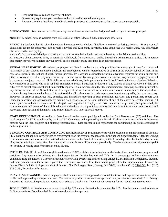- Keep work areas clean and orderly at all times.
- Operate only equipment you have been authorized and instructed to safely use.
- Report all accidents/incidents immediately to the principal and complete an accident report as soon as possible.

**MEDICATIONS:** Teachers are not to dispense any medication to students unless designated to do so by the nurse or principal.

**NURSE**: The school nurse is available from 8:00-3:30. Her office is located in the elementary office area.

**PAYROLL:** Payday is the 25th of each month or the nearest workday before if it falls on a weekend or during a holiday. Since the annual contract for ten-month employees (school year) is divided into 12 monthly payments, those employees will receive June, July and August checks all on the June payday.

*Automatic Deposit* is available by completing a form with an attached voided check and submitting to the Administration office.

All questions about contracts, W4's, or automatic withdrawals from checks are handled through the Administration office. It is important that employees verify the address on your payroll checks annually or any time there is an address change.

**SEXUAL HARASSMENT:** All students, employees and Board members are strictly prohibited from engaging in any form of sexual harassment of any student, employee, applicant for employment, vendor representative or patron of the Dewey School District. In the case of a student of the School District, "sexual harassment" is defined as unwelcome sexual advances; requests for sexual favors and other unwelcome verbal or physical conduct of a sexual nature by any person towards a student. Any student engaging in sexual harassment is subject to any and all disciplinary action, which may be imposed under the School District's Policy on Student Behavior. Any employee or student who is or has been subjected to sexual harassment or knows of any student or employee who is or has been subjected to sexual harassment shall immediately report all such incidents to either the superintendent, principal, assistant principal or any Board member of the School District. If a report of an incident needs to be made after normal school hours, the above-listed individuals may be contacted at home. It is preferred that all such reports be made in person or in writing signed by the reporting party. However, in order to encourage full, complete and immediate reporting of such prohibited activities, any person may report such incidents in writing and anonymously by mailing such reports to the personal attention of any of the above-designated persons. All such reports should state the name of the alleged harassing student, employee or Board member, the person(s) being harassed, the nature, contacts and extent of the prohibited activity, the dates of the prohibited activity and any other information necessary to a full report and investigation of the matter. The School District will investigate all reports.

**STAFF DEVELOPMENT:** According to State Law all teachers are to participate in authorized Staff Development (SD) activities. The local program for SD is established by the Local SD Committee and approved by the Board. Each teacher is responsible for becoming familiar with the local program and building representatives. Each teacher is also responsible for documenting SD points according to outlined procedures.

**TEACHING CONTRACT AND CONTINUING EMPLOYMENT:** Teaching services will be based on an annual contract of 180 days (175 instructional and 5 in-service) with re-employment upon the recommendation of the principal and Superintendent. A teacher wishing to terminate a contract must submit a certified letter addressed to the Board of Education, within fifteen days after the first Monday in June. Any teacher wishing to resign after this date may do so with Board of Education approval only. Teachers are automatically re-employed if not notified in writing prior to the first Monday in June.

**TITLE IX:** Title IX of the Educational Amendments of 1972 prohibits discrimination on the basis of sex in education programs and activities. Any person who believes that the Dewey School District has violated Title IX is encouraged to file a discrimination complaint using the District's Grievance Procedures for Filing, Processing and Resolving Alleged Discrimination Complaints. Students and their parents can obtain a free copy of the Grievance Procedures from their school principal or the superintendent. Contact the School District's Title IX Superintendent of Schools, One Bulldogger Road, Dewey, OK 74029, telephone (918) 534-2241, fax (918) 534-0149 , for further information.

**TRAVEL ALLOWANCES**: School employees shall be reimbursed for approved school related travel and expenses when a travel claim is filed and approved by the superintendent. The rate to be paid is the current state approved rate per mile for a round trip from Dewey. Records and receipts of expenditures must be attached to the travel claim. Travel reimbursement is for job related requirements only.

**WORK HOURS:** All teachers are to report to work by 8:00 am and be available to students by 8:05. Teachers are excused to leave at 3:45. Any deviation from this schedule must have administrative approval.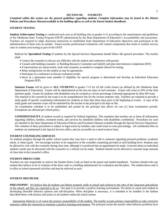#### **SECTION III: STUDENTS**

## *Contained within this section are the general guidelines regarding students. Complete information may be found in the District Policies and Procedures Manual available in the building offices as well as the Parent Student Handbook.*

#### **STUDENT TESTING**

**Student Achievement Testing** is conducted each year at all building sites in grades 3-12 according to the requirements and guidelines of the Oklahoma State Testing Program (OSTP) administered by the State Department of Education's Accountability and assessment. Teachers are required to align classroom instruction to established State Department of Education objectives and participate in the administration of these tests as needed. Future teacher professional evaluations will contain components that relate to student success rates in content area testing as part of the OSTP.

Referral for **Specialized Testing** of students by the Special Services Department should follow this general procedure: The teacher shall:

- Contact the counselor to discuss any difficulty with the student and conference with parents.
- Consult with building counselor or Building Resource Committee and identify and plan interventions to implement (RIT)
- If interventions are unsuccessful, work with counselor as needed to complete referral for testing.
- Relay testing forms via the student as may be appropriate.
- Participate in a conference to discuss evaluation results.
- Serve as a placement team member if eligibility for special program is determined and develop an Individual Education Program (IEP).

**Semester Exams** will be given to **ALL STUDENTS** in grades 7-12 for all full credit classes (as defined by the Oklahoma State Department of Education). Exams will be administered on the last two days of each semester. Exams will count as 20% of the final semester grade. Exams for students with disabilities may be counted as a lower percentage if deemed appropriate by their IEP team. The material to be covered by the exam is to be comprehensive but for the current semester only. Teachers are required to provide a study guide of specific examination information for students no later than three days prior to the beginning of exams. A copy of the study guide and semester exam will be submitted by the teacher to the principal to be kept on file.

An examination schedule is to be established and posted by the principal that allows for one (1) hour examination periods. Exemptions are allowed per school policy.

**CONFIDENTIALITY** of student records is required by Federal legislation. This mandates that teachers are to keep all information regarding children, families, treatment needs, and services for identified children with disabilities confidential. Procedures for such are detailed in the State Department of Education Policies and Procedures Manual available through the Special Services Department. The violation of these procedures is subject to legal action by families, and could result in court proceedings. All confidential files on students are maintained in the Special Services office, and are accessible on a need-to-know basis.

#### **STUDENT COUNSELING SERVICES**

As students progress through the public school system they may have a need to talk to someone regarding personal problems, academic needs, or future goals. We encourage teachers to be supportive of the available counseling provided at each building level. Students may be allowed to visit with the counselor during class time, although it is preferred that an appointment be made. Concerns about an individual student's needs may be discussed with the counselor or a referral can be made. Students should not be allowed to consume large amounts of class time in the counselor's office.

#### **STUDENT DRESS CODE**

Teachers are also responsible to enforce the Student Dress Code as listed in the parent and student handbook. Teachers should refer any student they believe to be in violation of the dress code to a building administrator for evaluation and discipline. The student dress code is in effect at school sponsored activities and may be enforced as such.

#### **STUDENT DISCIPLINE**

**PHILOSOPHY**: We believe that all students can behave properly while at school and conform to the rules of the classroom and policies of the school; and they are expected to do so. Our goal is to provide a positive learning environment. We desire to assist each student in developing desirable behavior patterns and self-discipline. When discipline is necessary, it is intended to be handled in the fashion described below with fairness and justice to all students within the school system.

 Appropriate behavior is of course the primary responsibility of the student. The teacher accepts primary responsibility to take corrective measures within the classroom to maintain a positive learning environment. The principal assists the teacher when behavior problems have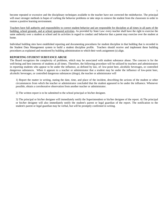become repeated or excessive and the disciplinary techniques available to the teacher have not corrected the misbehavior. The principal will enact stronger methods in hopes of curbing the behavior problems or take steps to remove the student from the classroom in order to restore a positive learning environment.

Teachers have full authority and responsibility to correct student behavior and are responsible for discipline at all times in all parts of the building, school grounds, and at school sponsored activities. As provided by State Law: every teacher shall have the right to exercise the same authority over a student at school and its activities in regard to conduct and behavior that a parent may exercise over the student at home.

Individual building sites have established reporting and documenting procedures for student discipline in that building that is recorded in the Student Data Management system to build a student discipline profile. Teachers should receive and implement these building procedures as explained and monitored by building administration to which their work assignment (s) align.

#### **REPORTING STUDENT SUBSTANCE ABUSE**

The Board recognizes the complexity of problems, which may be associated with student substance abuse. The concern is for the well-being and best interests of students at all times. Therefore, the following procedure will be utilized by teachers and administrators in reporting students who appear to be under the influence, as defined by law, of: low-point beer, alcoholic beverages, or controlled dangerous substances. When it appears to a teacher or administrator that a student may be under the influence of low-point beer, alcoholic beverages, or controlled dangerous substances (drugs), the teacher or administrator will

1) Report the matter in writing, stating the date, time, and place of the incident, describing the actions of the student or other circumstances from which the teacher or administrator concluded that the student appeared to be under the influence. Whenever possible, obtain a corroborative observation from another teacher or administrator.

2) The written report is to be submitted to the school principal or his/her designee.

3) The principal or his/her designee will immediately notify the Superintendent or his/her designee of the report. 4) The principal or his/her designee will also immediately notify the student's parent or legal guardian of the report. The notification to the student's parent or legal guardian may be verbal, but will be promptly confirmed in writing.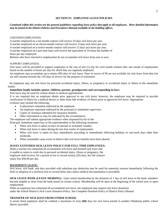## **SECTION IV: EMPLOYEE LEAVE POLICIES**

## *Contained within this section are the general guidelines regarding leave policy that apply to all employees. More detailed information may be found in the District Policies and Procedures Manual available in the building offices.*

#### CERTIFIED EMPLOYEES:

A teacher employed on a ten-month contract will receive 10 days sick leave per year.

A teacher employed on an eleven-month contract will receive 11days sick leave per year.

A teacher employed on a twelve-month contract will receive 12 days sick leave per year.

A teacher employed on a part time basis will receive the equivalent of 10 times the number of

hours per day employed.

Retirees who have returned to employment do not accumulate sick leave from year to year.

#### SUPPORT EMPLOYEES:

Sick leave will be provided to support employees at the rate of one (1) day for each month worked after one month of employment based on the number of hours per day for which they are regularly employed.

An employee may accumulate up to ninety (90) days of sick leave. Days in excess of 90 are not available for sick leave from duty but are still counted towards the 120 days of service for the purpose of retirement.

An employee may use sick leave for personal accidental injury, illness, or pregnancy or accidental injury or illness in the immediate family.

#### **Immediate family includes spouse, children, parents, grandparents and corresponding in-laws**.

Sick leave may be used for routine dental or medical appointments.

It is not required that an employee obtain prior approval to use sick leave, however, the employee may be required to provide certification of illness by a medical doctor or other bona fide evidence of illness prior to approved sick leave. Appropriate evidence may include the following:

- A physician's statement endorsed by the employee.
- An employee statement endorsed by the principal or immediate supervisor.
- Copies of claims(s) submitted for insurance benefits.
- Other information as may be indicated by the circumstances.

The employee will submit appropriate evidence when requested by his or her

Principal, immediate supervisor or the superintendent in the following situations:

- When sick leave is taken on days of unusual or inclement weather.
- When sick leave is taken during the last four weeks of employment.
- When sick leave is taken on days immediately preceding or immediately following holidays or non-work days other than weekends.
- When reasonable cause exists to believe that sick leave benefits have been abused.

#### **20 DAY EXTENDED SICK LEAVE POLICY FOR FULL-TIME EMPLOYEES:**

When a teacher has exhausted all accumulated sick leave and donated sick leave and is unable to return to work due to personal accidental injury, illness or pregnancy, the employee shall receive, for a period of not to exceed twenty (20) days, the full contract salary less \$50.00 per day.

#### **MATERNITY LEAVE:**

Sick leave, sick bank, and days provided with substitute pay deduction may be used for maternity reasons immediately following the birth or adoption of a newborn (not to exceed thirty days unless medical documentation is provided).

**SICK LEAVE BANK (LEAVE SHARING):** Upon initial membership by the donation of 1 day of sick leave to the bank, members become eligible to draw from the bank based on certain criteria. Membership will be open at the beginning of the school year or upon employment.

When an employee has exhausted all accumulated sick leave, the employee may request sick leave donations

under the School District's Sick Leave Donation Policy. See Complete Donation Policy in District Policy Manual

## **TRANSFER OF SICK DAYS FROM OTHER SCHOOL**

A newly hired employee shall be credited a maximum of sixty **(60)** days for sick leave earned in another Oklahoma public school district provided: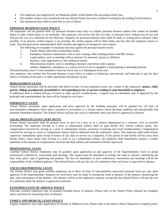- The employee was employed by an Oklahoma public school district the preceding school year;
- The number of days to be transferred into the School District has been certified in writing by the sending School District.
- The transferred days shall be used first in case of illness.

## **PERSONAL BUSINESS LEAVE POLICY**

All employees will be granted three (3) personal business leave days to conduct personal business matters that cannot be handled before or after school hours or on weekends. The employee will receive the first two days of personal leave without loss of pay and will pay the cost of a substitute for the third day. Requests for personal business leave shall be made in writing and in advance when possible. If an advance written request is not possible, the written request will be filed within one day after the employee returns to work. The principal and/or superintendent shall consider and approve or disapprove each request.

The following are examples of situations that may qualify for personal business leave:

- 1. Family illness other than in immediate family.
- 2. Emergency business transactions, such as loan closings, other banking matters and IRS reviews.
- 3. Legal matters, such as meetings with an attorney for personal, spouse or children's
- business, court appearances or the settling of estates.
- 4. Miscellaneous matters, such as attending a business convention with a spouse, military obligations, attendance at a school activity if son or daughter is participating or attending funerals.

Personal business leave is non-cumulative from one fiscal year to a subsequent fiscal year.

Any employee who violates this Personal Business Leave Policy is subject to dismissal, non-renewal, and reduction in pay for days taken in violation of the policy or other appropriate disciplinary action.

## **BEREAVEMENT LEAVE**

School District personnel will be provided with three (3) days of non-cumulative leave, for a death of the employee's **spouse, child, parent, sibling, grandparent, grandchild or corresponding in-law or person residing in same household as employee.**

If additional time is needed because of travel or other special considerations, a request may be submitted; and, if approved by the principal and superintendent, the time will be charged to sick leave.

## **EMERGENCY LEAVE**

School District personnel, upon application and prior approval by the building principal, will be granted two (2) days of non-cumulative emergency leave upon a situation or occurrence or a serious nature, which develops suddenly and unexpectedly and demands immediate attention. The School District will pay the cost of a substitute when such leave is approved in advance.

#### **LEGAL PROCESS LEAVE (JURY DUTY)**

School District personnel shall be granted leave to serve on a jury or as a witness subpoenaed in a criminal, civil, or juvenile proceeding. The employee serving as a juror or subpoenaed witness shall be paid his/her full, current contract salary, less compensation received for serving as a juror or subpoenaed witness, exclusive of parking and travel reimbursement. Compensation received for serving as a juror or subpoenaed witness shall be deducted from the employee's salary. The employee shall notify his/her supervisor immediately upon receipt of notice of jury duty or service of a subpoena, of the period of time he/she will be away from his/her duties. Upon return from serving as a juror or as a subpoenaed witness, the employee shall immediately prepare a written statement of the amount of compensation received and shall submit said statement to his/her supervisor.

#### **PROFESSIONAL LEAVE**

Certified School District employees may be granted, upon application to and approval of the Superintendent, leave to attend professional conferences, conventions and meetings. The request must be submitted in writing one week in advance, identifying the date, time, place, type of gathering and purpose. The fees for attendance at such conferences, conventions and meetings will be the responsibility of the certified employee. The School District will pay the cost of a substitute when such leave is approved in advance.

#### **UNEXCUSED PERSONAL LEAVE**

The School District may grant certified employees up to three (3) days of noncumulative unexcused personal leave per year upon approval of the Superintendent. Requests for such leave must be made in writing one week in advance of the absence, identifying the date, time and purpose of the absence. The absence will be at the employee's expense, except that the School District will pay the cost of a substitute when the absence is approved in advance.

## **EXTENDED LEAVE OF ABSENCE POLICY**

Full-time certified employees may be granted extended leaves of absence. Please refer to the District Policy Manual for complete policy and form for requesting leave of absence.

#### **FAMILY AND MEDICAL LEAVE POLICY**

Eligible employees may make application for Family or Medical Leave. Please refer to the District Policy Manual for complete policy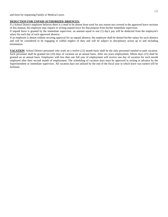and form for requesting Family or Medical Leave.

#### **DEDUCTION FOR UNPAID AUTHORIZED ABSENCES:**

If a School District employee believes there is a need to be absent from work for any reason not covered in the approved leave sections of this manual, the employee may request in writing unpaid leave for that purpose from his/her immediate supervisor.

If unpaid leave is granted by the immediate supervisor, an amount equal to one (1) day's pay will be deducted from the employee's salary for each day of such approved absence.

If an employee is absent without securing approval for an unpaid absence, the employee shall be denied his/her salary for such absence and will be considered to be engaging in willful neglect of duty and will be subject to disciplinary action up to and including termination.

**VACATION**: School District personnel who work on a twelve (12) month basis shall be the only personnel entitled to paid vacation. Such personnel shall be granted ten (10) days of vacation on an annual basis. After ten years employment, fifteen days (15) shall be granted on an annual basis. Employees with less than one full year of employment will receive one day of vacation for each month employed after their second month of employment. The scheduling of vacation days must be approved in writing in advance by the Superintendent or immediate supervisor. All vacation days not utilized by the end of the fiscal year in which leave was earned will be forfeited.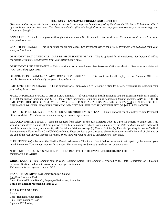#### **SECTION V: EMPLOYEE FRINGES AND BENEFITS**

*(This information is provided as an attempt to clarify terminology and benefits regarding the district's "Section 125 Cafeteria Plan" of taxable and non-taxable items. The Superintendent's office will be glad to answer any questions you may have regarding your fringes and benefits*.)

ANNUITIES – Available to employees through various sources. See Personnel Office for details. *Premiums are deducted from your salary before taxes.*

CANCER INSURANCE – This is optional for all employees. See Personnel Office for details. *Premiums are deducted from your salary before taxes.*

DEPENDENT DAY CARE/CHILD CARE REIMBURSEMENT PLANS – This is optional for all employees. See Personnel Office for details. *Premiums are deducted from your salary before taxes.*

DEPENDENT LIFE INSURANCE – This is optional for all employees. See Personnel Office for details. *Premiums are deducted from your salary after taxes.*

DISABILITY INSURANCE / SALARY PROTECTION INSURANCE – This is optional for all employees. See Personnel Office for details. *Premiums are deducted from your salary after taxes.*

EMPLOYEE LIFE INSURANCE – This is optional for all employees. See Personnel Office for details. *Premiums are deducted from your salary before taxes.*

\*FLEX INSURANCE or FLEX CASH or FLEX BENEFIT – If you are not on health insurance you are given a monthly cash benefit. \$189.69 for support personnel and \$69.71 for certified personnel. *This amount is considered taxable income.* ANY CERTIFIED EMPLOYEE, RETIRED OR NOT, WHO IS WORKING LESS THAN 20 HRS. PER WEEK DOES NOT QUALIFY FOR THE INSURANCE BENEFIT. HOWEVER THEY DO QUALIFY FOR THE "IN LIEU OF BENEFIT" OF \$69.71 PER MONTH.

FLEXIBLE SPENDING ACCOUNTS / MEDICAL REIMBURSEMENT PLANS *-* This is optional for all employees. See Personnel Office for details. *Premiums are deducted from your salary before taxes*

REDUCED FRINGE BENEFIT - Amount reduced from salary on the *125 Cafeteria Plan* as a pre-tax benefit to employees. This would include items such as (1) Your portion of the health insurance, which is *any amount over the state paid* and includes additional health insurance for family members (2) All Dental and Vision coverage (3) Cancer Policies (4) Flexible Spending Accounts/Medical Reimbursement Plans, or Day Care/Child Care Plans. These are items you choose to shelter from taxes monthly instead of claiming at the end of the year on your income tax return. *These items may not be used as deductions on your taxes.*

FLEX FRINGE (A) – Includes the Flexible Benefit Allowance. This item is identified as the amount that is paid by the state on your health insurance. You are not taxed on this amount. *This item may not be used as a deduction on your taxes.*

## NOTE: NO RETIREMENT IS PAID ON THE FLEX BENEFIT OR THE EMPLOYEE RETIREMENT OFFSET **TYPES OF SALARIES**

**GROSS SALARY**: Total amount paid as cash. (Contract Salary) This amount is reported to the State Department of Education Personnel Section, and used to crosscheck Employee Retirement. *This amount is not reported on your W-2.*

**TAXABLE SALARY**: Gross Salary (Contract Salary) Plus Flex Insurance Cash Less - Reduced Fringe Benefit, Employee Retirement, Annuities **This is the amount reported on your W-2.**

**FICA & FICA SALARY** Salary Less - Reduced Fringe Benefit Plus - Flex Insurance Cash Equals = FICA salary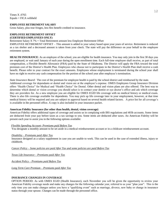## **EMPLOYEE RETIREMENT SALARY**

Gross Salary, plus true fringes, less flex benefit credited to insurance.

#### **EMPLOYEE RETIREMENT OFFSET (CERTIFIED EMPLOYEES ONLY)**

Retirement Salary X 7% = Total Retirement amount less Employee Retirement Offset

EMPLOYEE RETIREMENT OFFSET – This amount is added to your salary based upon your years of service. Retirement is reduced as a tax shelter and a decreased amount is taken from your check. The state will pay the difference on your behalf to the employee retirement system.

**HEALTH INSURANCE**: As an employee of the school, you are eligible for health insurance. You may only join in the first 30 days you are employed, or wait until January of each year during the open enrollment time. Each full-time employee shall receive, as part of total compensation, a Flexible Benefit Allowance (FBA) paid by the State of Oklahoma. The District will apply the FBA toward the total premium cost of the District's Health Plan. Employees who choose not to participate in the District's Health Plan shall receive a cash benefit. Please refer to your contract for the exact amounts. Employees whose employment is terminated during the school year shall have no right to receive any cash compensation for the portion of the school year after employee's termination.

*State Insurance Board*: The cost of the premium for employee health is paid by the school district and reimbursed by the state.

Additional coverage for dependants or dental and vision are at the employee's expense. OMES Employees Group Insurance Division offers "Health Choice" for Medical and "Health Choice" for Dental. Other dental and vision plans are also offered. The best way to determine which dental or vision coverage you should select is to contact your dentist or eye doctor's office and ask which coverage they are providers for. As a new employee you are eligible for OMES EGID life coverage with no medical history or medical exam. There is also life coverage available for dependents. You may pick up life coverage later in your employment, however, at that time medical history will be required and you are subject to approval based on several health related factors. A price list for all coverage's is available in the personnel office. A copy is also included in your insurance packet.

#### **American Fidelity Insurance (for other than health, dental, vision coverage)**

American Fidelity offers additional types of coverage and assists us in complying with IRS regulations and 403b accounts. Some items are deducted from your pay before taxes as a tax savings to you. Some items are deducted after taxes. An American Fidelity will be present each year to assist you in the following options available:

#### *Flexible Spending Account- Premiums paid Before Tax*

You designate a monthly amount to be set aside in a medical reimbursement account or in a childcare reimbursement account.

#### *Disability – Premiums paid After Tax*

Insurance designed as a salary supplement in case you are unable to work. This can be used in the case of extended illness, injury or childbirth.

*Cancer Policy – Some policies are paid After Tax and some policies are paid Before Tax*

*Texas Life Insurance – Premiums paid After Tax* 

*Accident Policy – Premiums paid Before Tax*

*Long Term Care Premium – Premiums paid After Tax*

#### **INSURANCE CHANGES IN COVERAGE**

OPTION PERIOD: As with OMES EGID (Health Insurance), each November you will be given the opportunity to review your American Fidelity coverage needs and make any changes for the following calendar year, referred to as your "plan year". This is the only time you can make changes unless you have a "qualifying event" such as marriage, divorce, new baby or change in insurance status through your spouse. Changes can be made through the personnel office.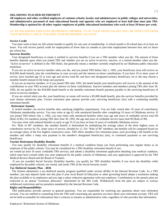#### **OKLAHOMA TEACHER RETIREMENT**

**All employees and other certified employees of common schools, faculty and administrators in public colleges and universities, and administrative personnel of state educational boards and agencies who are employed at least half-time must join TRS. Membership is optional for all other regular employees of public educational institutions who work at least 20 hours per week.**

#### AS AN OKLAHOMA EMPLOYEE RETIREMENT MEMBER, 7% OF YOUR GROSS SALARY WILL BE DEDUCTED FROM YOUR MONTHLY CHECK TOWARDS YOUR RETIREMENT ACCOUNT.

#### **Service Credit**

You must work at least six full school months to qualify for one year of membership. A school month is 20 school days of at least six hours. You will receive partial credit for employment of fewer than six months or part-time employment between four and six hours per school day.

#### **Survivor Benefits**

 Your designated beneficiary or estate is entitled to survivor benefits if you are a TRS member when you die. The amount of those benefits depends upon when you joined TRS and whether you are an active in-service, inactive, or a retired member when you die. "Active in-service" is defined in the TRS Rules, but generally means a member currently employed by an Oklahoma public education institution.

 If you are an active in-service member when you die, and you joined TRS before July 1, 1992, your beneficiary (ies) will receive an \$18,000 death benefit, plus the contributions in your account and the interest on those contributions. If you have 10 or more years of service, have reached age 55 or your age and service total 80, and have one designated primary beneficiary, he or she may choose a monthly benefit instead of the lump sum payment.

 If you are an inactive member, or if you joined TRS after 1992, the death benefit your beneficiaries will receive is the amount of the contributions in your TRS account plus the interest on those contributions. Inactive members and members joining TRS after June 30, 1992, do not qualify for the \$18,000 death benefit or the monthly retirement benefit payment payable to the surviving beneficiary of active in-service members.

 If you are retired when you die, your beneficiary or estate will receive a \$5,000 death benefit, plus the survivor benefits provided by your chosen retirement plan. Certain retirement plan options provide your surviving beneficiary (ies) with a continuing monthly retirement benefit.

#### **Retirement Annuity**

 A vested member can receive benefits after satisfying eligibility requirements. You are fully vested after 10 years of contributory Oklahoma membership service. You may retire at age 62 with unreduced benefits after completing 10 years of Oklahoma service. If you joined TRS before July 1, 1992, you may retire with unreduced benefits when your age and years of creditable service total 80 (Rule of 80). For members joining TRS after June 30, 1992, the age and years of creditable service must total 90 (Rule of 90).

You may retire with reduced benefits as early as age 55 if you have at least 10 years of creditable Oklahoma service.

 For "Rule of 80" members, the monthly benefit is determined by multiplying the average salary of the three highest years of contributory service by 2%, times years of service, divided by 12. For "Rule of 90" members, the benefits will be computed based on an average salary of the five highest consecutive years. TRS offers members five retirement plans, each providing a life benefit to the member and either a lump sum payment to the member's designated beneficiary (ies), or continued payments to one surviving beneficiary.

#### **Teacher Retirement Disability Benefits**

 You may qualify for disability retirement benefits if a medical condition keeps you from performing your regular duties as an employee of the public schools. You may be considered for a TRS disability retirement benefit if you:

are vested (at least 10 years' creditable TRS service), and submit a disability retirement application detailing your medical condition, which must have existed while you were employed by the public schools of Oklahoma, and your application is approved by the TRS Medical Review Board and the Board of Trustees.

 If you are awarded Social Security Disability benefits, you qualify for TRS disability benefits if you incur the disability while employed by the public schools, are vested, and notify TRS of the Social Security award.

#### **Tax-Sheltered Annuity Plan – 403b**

 The System administers a tax-sheltered annuity program qualified under section 403(b) of the Internal Revenue Code. As a TRS member, you may deposit funds into this plan if your local Board of Education or other governing board adopts a resolution making the plan available to its employees and you sign a salary reduction agreement with your employer. Contributions to the annuity plan are restricted to an annual "exclusion allowance" determined by the IRS Code. Withdrawals from the plan are subject to various withdrawal restrictions and tax penalties mandated by the Internal Revenue Code.

#### **Rights and Responsibilities**

 TRS publications provide answers to general questions. You are responsible for resolving any questions about your retirement account. You are entitled to counseling from the TRS staff concerning any question you have about your retirement account. TRS will not be held accountable for information that is contrary to statutes or administrative rules, regardless of who provides that information.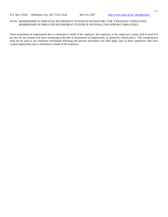#### NOTE: MEMBERSHIP IN EMPLOYEE RETIREMENT SYSTEM IS MANDATORY FOR "CERTIFIED" EMPLOYEES. MEMBERSHIP IN EMPLOYEE RETIREMENT SYSTEM IS OPTIONAL FOR SUPPORT EMPLOYEES.

Upon termination of employment due to retirement or death of the employee, the employee or the employee's estate shall be paid \$10 per day for any unused sick leave remaining at the date of termination of employment, as limited by school policy. This compensation shall not be paid to any employee terminated following due process procedures but shall apply only to those employees who have ceased employment due to retirement or death of the employee.